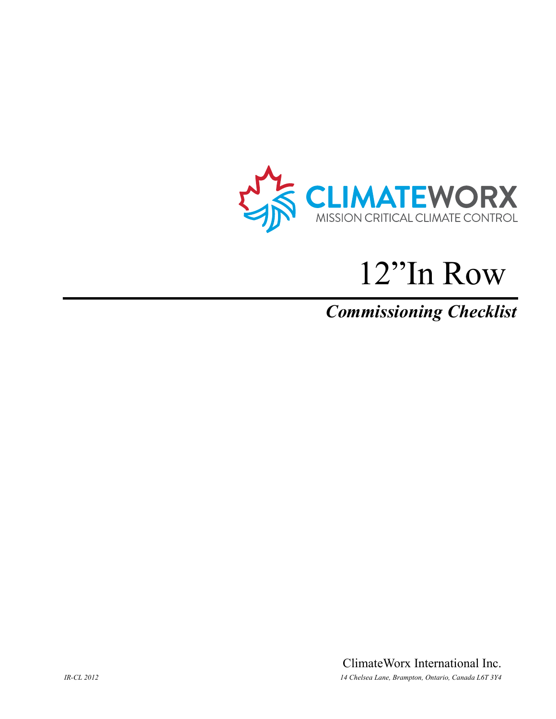

# 12"In Row

## *Commissioning Checklist*

ClimateWorx International Inc. *IR-CL 2012 14 Chelsea Lane, Brampton, Ontario, Canada L6T 3Y4*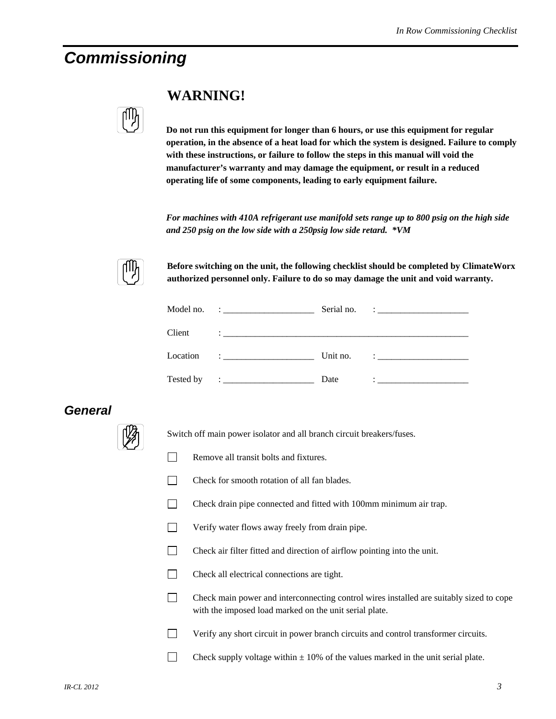### *Commissioning*

| I |
|---|
|   |
|   |

#### **WARNING!**

**Do not run this equipment for longer than 6 hours, or use this equipment for regular operation, in the absence of a heat load for which the system is designed. Failure to comply with these instructions, or failure to follow the steps in this manual will void the manufacturer's warranty and may damage the equipment, or result in a reduced operating life of some components, leading to early equipment failure.** 

*For machines with 410A refrigerant use manifold sets range up to 800 psig on the high side and 250 psig on the low side with a 250psig low side retard. \*VM* 



**Before switching on the unit, the following checklist should be completed by ClimateWorx authorized personnel only. Failure to do so may damage the unit and void warranty.** 

|           | Serial no. | <u> 1986 - Jan Samuel Barbara, poeta poeta poeta poeta poeta poeta poeta poeta poeta poeta poeta poeta poeta poe</u>                                                                                                                   |
|-----------|------------|----------------------------------------------------------------------------------------------------------------------------------------------------------------------------------------------------------------------------------------|
| Client    |            |                                                                                                                                                                                                                                        |
| Location  | Unit no.   | $\mathcal{L}$ . The contract of the contract of $\mathcal{L}$                                                                                                                                                                          |
| Tested by | Date       | $\ddot{\phantom{a}}$ , and the contract of the contract of the contract of the contract of the contract of the contract of the contract of the contract of the contract of the contract of the contract of the contract of the contrac |

#### *General*



Switch off main power isolator and all branch circuit breakers/fuses.

- Remove all transit bolts and fixtures.
- $\Box$  Check for smooth rotation of all fan blades.
- Check drain pipe connected and fitted with 100mm minimum air trap.
- Verify water flows away freely from drain pipe.
- Check air filter fitted and direction of airflow pointing into the unit.
- Check all electrical connections are tight.
- Check main power and interconnecting control wires installed are suitably sized to cope with the imposed load marked on the unit serial plate.
- Verify any short circuit in power branch circuits and control transformer circuits.
- Check supply voltage within  $\pm$  10% of the values marked in the unit serial plate.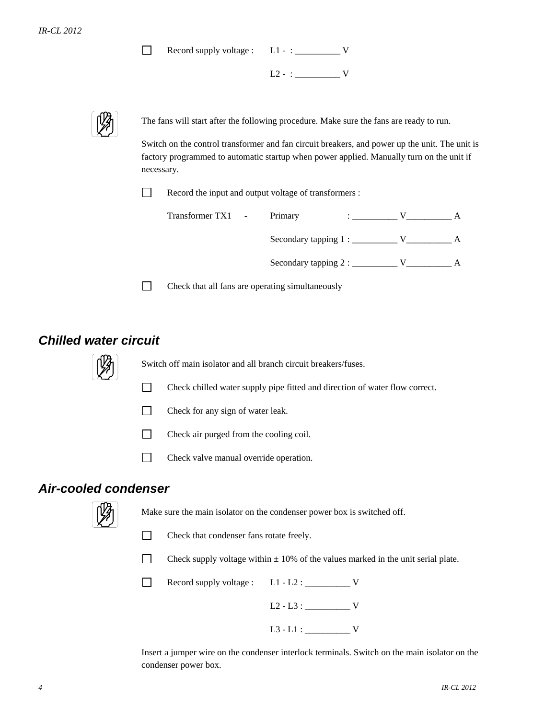Record supply voltage : L1 - : \_\_\_\_\_\_\_\_\_\_ V  $\Box$ 

 $L2 - : \_$ 



The fans will start after the following procedure. Make sure the fans are ready to run.

Switch on the control transformer and fan circuit breakers, and power up the unit. The unit is factory programmed to automatic startup when power applied. Manually turn on the unit if necessary.

Record the input and output voltage of transformers :

| Transformer TX1 - | Primary                                         |  |  |
|-------------------|-------------------------------------------------|--|--|
|                   | Secondary tapping $1:$ _______                  |  |  |
|                   | Secondary tapping $2:$ $\overline{\phantom{a}}$ |  |  |

 $\Box$  Check that all fans are operating simultaneously

#### *Chilled water circuit*



Switch off main isolator and all branch circuit breakers/fuses.

- Check chilled water supply pipe fitted and direction of water flow correct.
- $\Box$  Check for any sign of water leak.
- Check air purged from the cooling coil.
- Check valve manual override operation.

#### *Air-cooled condenser*



Make sure the main isolator on the condenser power box is switched off.

- Check that condenser fans rotate freely.
- Check supply voltage within  $\pm$  10% of the values marked in the unit serial plate.

Record supply voltage :  $L1 - L2$  : \_\_\_\_\_\_\_\_\_\_\_ V L2 - L3 : \_\_\_\_\_\_\_\_\_\_ V  $L3 - L1 : \_$ 

Insert a jumper wire on the condenser interlock terminals. Switch on the main isolator on the condenser power box.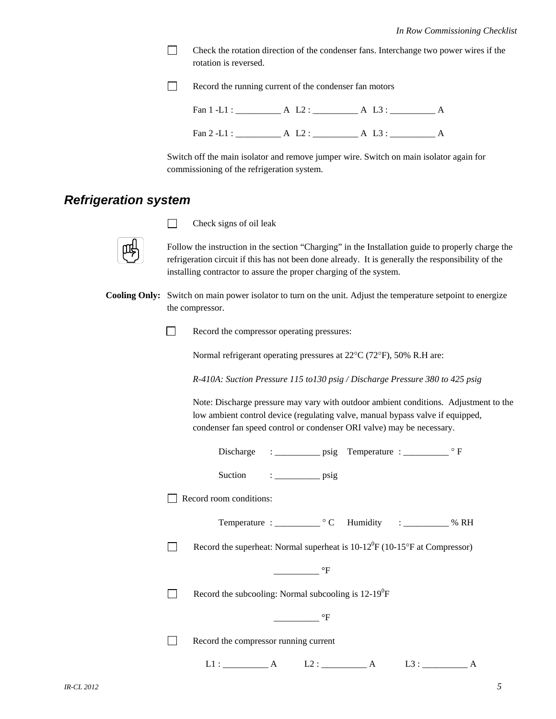$\Box$  Check the rotation direction of the condenser fans. Interchange two power wires if the rotation is reversed.

Record the running current of the condenser fan motors

| Fan $1$ -L1 : | A L3 |  |
|---------------|------|--|
| Fan $2$ -L1 : | А    |  |

Switch off the main isolator and remove jumper wire. Switch on main isolator again for commissioning of the refrigeration system.

#### *Refrigeration system*

 $\Box$  Check signs of oil leak

Follow the instruction in the section "Charging" in the Installation guide to properly charge the refrigeration circuit if this has not been done already. It is generally the responsibility of the installing contractor to assure the proper charging of the system.

**Cooling Only:** Switch on main power isolator to turn on the unit. Adjust the temperature setpoint to energize the compressor.

Record the compressor operating pressures:

Normal refrigerant operating pressures at 22°C (72°F), 50% R.H are:

*R-410A: Suction Pressure 115 to130 psig / Discharge Pressure 380 to 425 psig* 

 Note: Discharge pressure may vary with outdoor ambient conditions. Adjustment to the low ambient control device (regulating valve, manual bypass valve if equipped, condenser fan speed control or condenser ORI valve) may be necessary.

| Suction $\qquad \qquad : \qquad \qquad \text{psig}$                                                                                                                                                                                                                                                                                                                                                                                                                             |  |  |  |  |
|---------------------------------------------------------------------------------------------------------------------------------------------------------------------------------------------------------------------------------------------------------------------------------------------------------------------------------------------------------------------------------------------------------------------------------------------------------------------------------|--|--|--|--|
| Record room conditions:                                                                                                                                                                                                                                                                                                                                                                                                                                                         |  |  |  |  |
| Temperature : _________________ ° C Humidity : _____________ % RH                                                                                                                                                                                                                                                                                                                                                                                                               |  |  |  |  |
| Record the superheat: Normal superheat is $10-12^{\circ}F(10-15^{\circ}F$ at Compressor)                                                                                                                                                                                                                                                                                                                                                                                        |  |  |  |  |
| $\overline{\phantom{a}}$ $\overline{\phantom{a}}$ $\overline{\phantom{a}}$ $\overline{\phantom{a}}$ $\overline{\phantom{a}}$ $\overline{\phantom{a}}$ $\overline{\phantom{a}}$ $\overline{\phantom{a}}$ $\overline{\phantom{a}}$ $\overline{\phantom{a}}$ $\overline{\phantom{a}}$ $\overline{\phantom{a}}$ $\overline{\phantom{a}}$ $\overline{\phantom{a}}$ $\overline{\phantom{a}}$ $\overline{\phantom{a}}$ $\overline{\phantom{a}}$ $\overline{\phantom{a}}$ $\overline{\$ |  |  |  |  |
| Record the subcooling: Normal subcooling is $12-19^{\circ}F$                                                                                                                                                                                                                                                                                                                                                                                                                    |  |  |  |  |
| $\overline{\phantom{a}}^{\circ}F$                                                                                                                                                                                                                                                                                                                                                                                                                                               |  |  |  |  |
| Record the compressor running current                                                                                                                                                                                                                                                                                                                                                                                                                                           |  |  |  |  |
| $L1:$ $A$ $L2:$ $\underline{\qquad}$<br>A<br>A                                                                                                                                                                                                                                                                                                                                                                                                                                  |  |  |  |  |